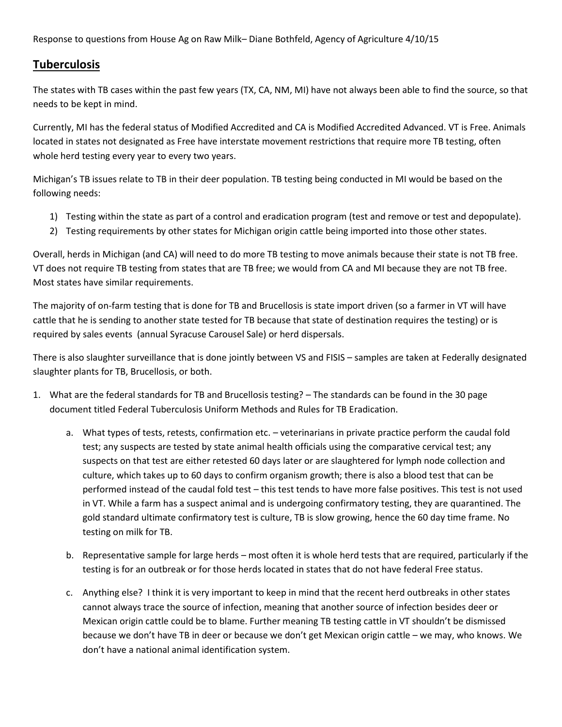Response to questions from House Ag on Raw Milk– Diane Bothfeld, Agency of Agriculture 4/10/15

## **Tuberculosis**

The states with TB cases within the past few years (TX, CA, NM, MI) have not always been able to find the source, so that needs to be kept in mind.

Currently, MI has the federal status of Modified Accredited and CA is Modified Accredited Advanced. VT is Free. Animals located in states not designated as Free have interstate movement restrictions that require more TB testing, often whole herd testing every year to every two years.

Michigan's TB issues relate to TB in their deer population. TB testing being conducted in MI would be based on the following needs:

- 1) Testing within the state as part of a control and eradication program (test and remove or test and depopulate).
- 2) Testing requirements by other states for Michigan origin cattle being imported into those other states.

Overall, herds in Michigan (and CA) will need to do more TB testing to move animals because their state is not TB free. VT does not require TB testing from states that are TB free; we would from CA and MI because they are not TB free. Most states have similar requirements.

The majority of on-farm testing that is done for TB and Brucellosis is state import driven (so a farmer in VT will have cattle that he is sending to another state tested for TB because that state of destination requires the testing) or is required by sales events (annual Syracuse Carousel Sale) or herd dispersals.

There is also slaughter surveillance that is done jointly between VS and FISIS – samples are taken at Federally designated slaughter plants for TB, Brucellosis, or both.

- 1. What are the federal standards for TB and Brucellosis testing? The standards can be found in the 30 page document titled Federal Tuberculosis Uniform Methods and Rules for TB Eradication.
	- a. What types of tests, retests, confirmation etc. veterinarians in private practice perform the caudal fold test; any suspects are tested by state animal health officials using the comparative cervical test; any suspects on that test are either retested 60 days later or are slaughtered for lymph node collection and culture, which takes up to 60 days to confirm organism growth; there is also a blood test that can be performed instead of the caudal fold test – this test tends to have more false positives. This test is not used in VT. While a farm has a suspect animal and is undergoing confirmatory testing, they are quarantined. The gold standard ultimate confirmatory test is culture, TB is slow growing, hence the 60 day time frame. No testing on milk for TB.
	- b. Representative sample for large herds most often it is whole herd tests that are required, particularly if the testing is for an outbreak or for those herds located in states that do not have federal Free status.
	- c. Anything else? I think it is very important to keep in mind that the recent herd outbreaks in other states cannot always trace the source of infection, meaning that another source of infection besides deer or Mexican origin cattle could be to blame. Further meaning TB testing cattle in VT shouldn't be dismissed because we don't have TB in deer or because we don't get Mexican origin cattle – we may, who knows. We don't have a national animal identification system.